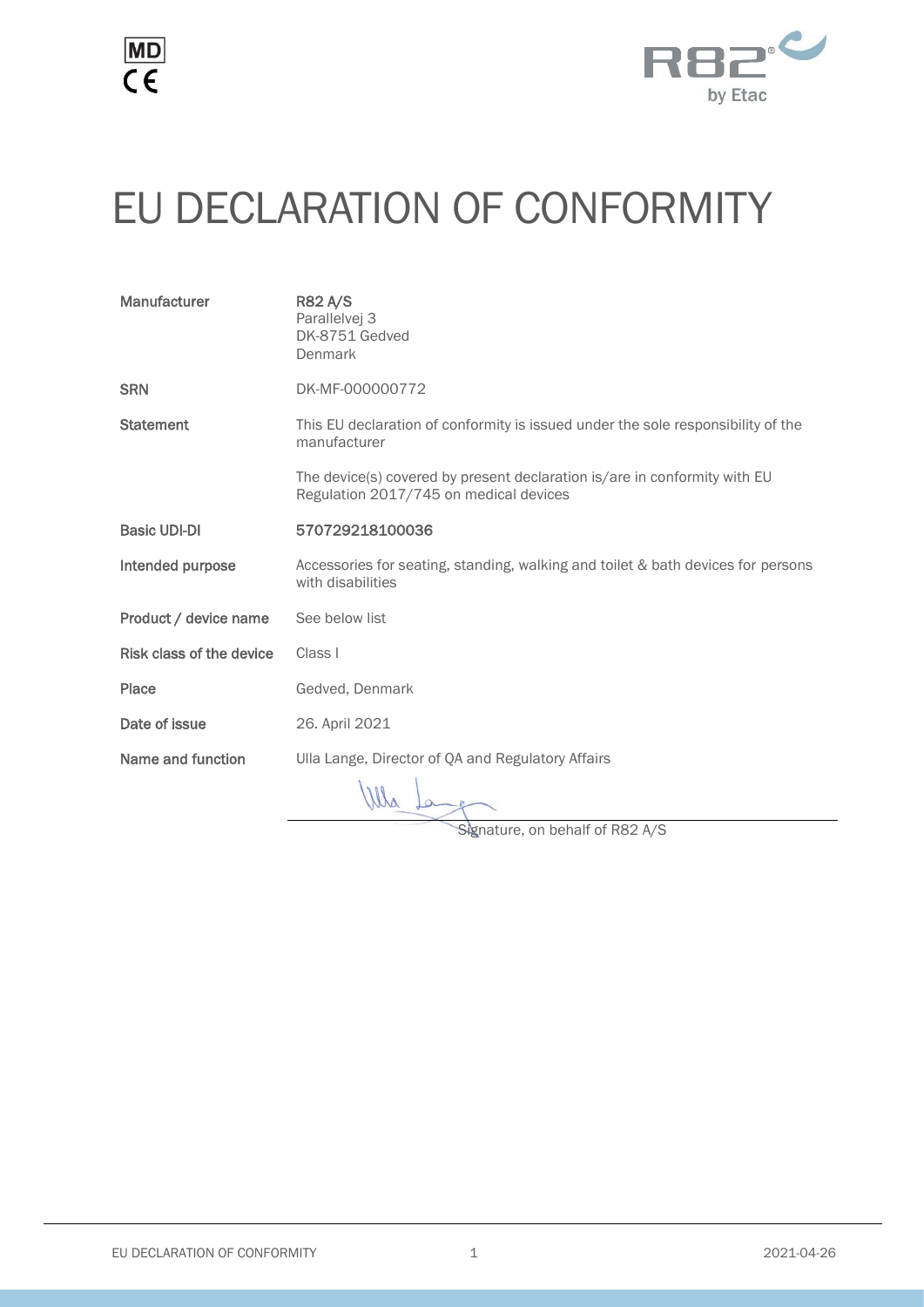



## EU DECLARATION OF CONFORMITY

| Manufacturer             | <b>R82 A/S</b><br>Parallelvej 3<br>DK-8751 Gedved<br>Denmark                                                        |
|--------------------------|---------------------------------------------------------------------------------------------------------------------|
| <b>SRN</b>               | DK-MF-000000772                                                                                                     |
| <b>Statement</b>         | This EU declaration of conformity is issued under the sole responsibility of the<br>manufacturer                    |
|                          | The device(s) covered by present declaration is/are in conformity with EU<br>Regulation 2017/745 on medical devices |
| <b>Basic UDI-DI</b>      | 570729218100036                                                                                                     |
| Intended purpose         | Accessories for seating, standing, walking and toilet & bath devices for persons<br>with disabilities               |
| Product / device name    | See below list                                                                                                      |
| Risk class of the device | Class I                                                                                                             |
| Place                    | Gedved, Denmark                                                                                                     |
| Date of issue            | 26. April 2021                                                                                                      |
| Name and function        | Ulla Lange, Director of QA and Regulatory Affairs                                                                   |
|                          | $\overline{111}$                                                                                                    |

Wha to

Signature, on behalf of R82 A/S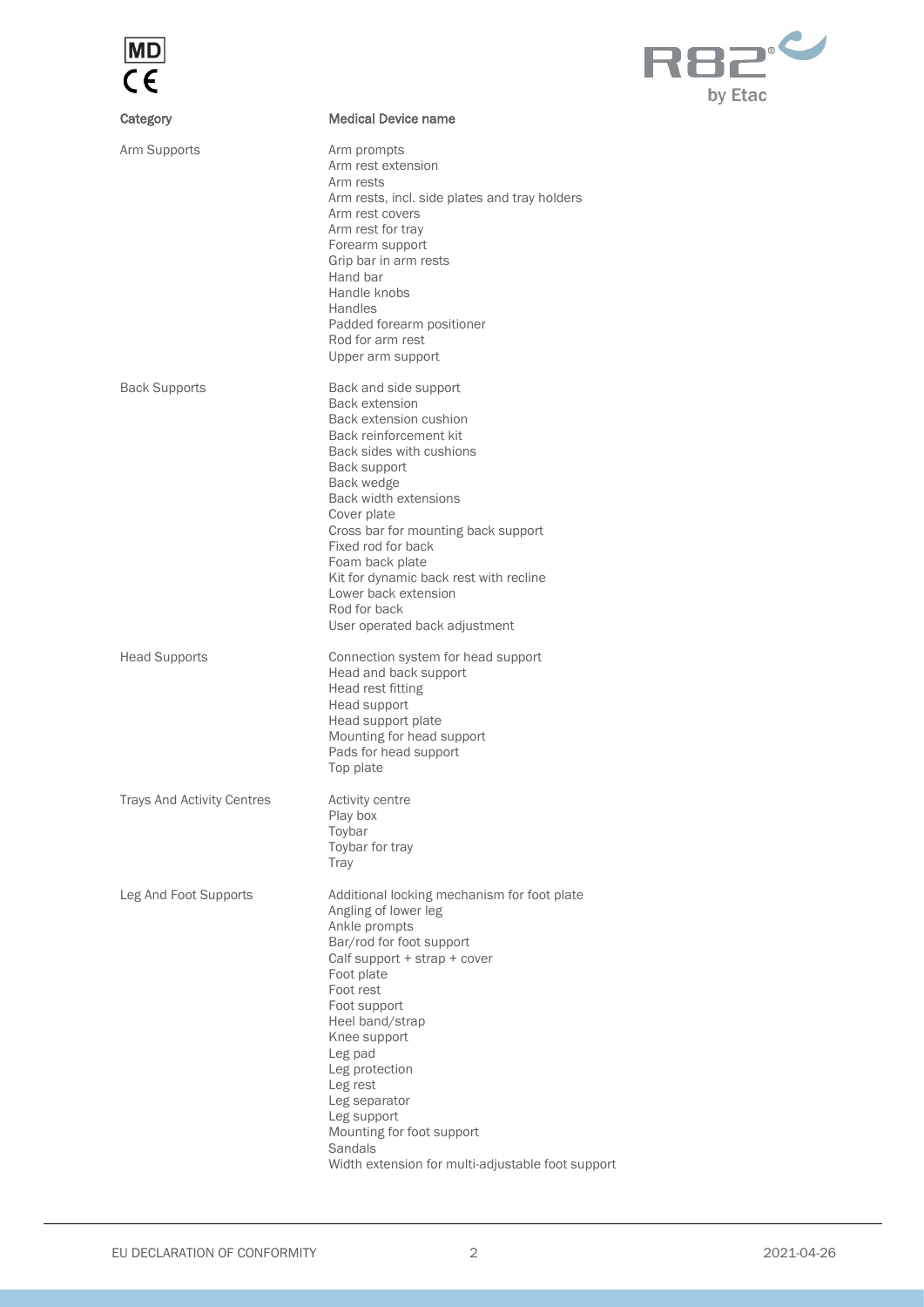



| Category                          | <b>Medical Device name</b>                                                                                                                                                                                                                                                                                                                                                                              |
|-----------------------------------|---------------------------------------------------------------------------------------------------------------------------------------------------------------------------------------------------------------------------------------------------------------------------------------------------------------------------------------------------------------------------------------------------------|
| Arm Supports                      | Arm prompts<br>Arm rest extension<br>Arm rests<br>Arm rests, incl. side plates and tray holders<br>Arm rest covers<br>Arm rest for tray<br>Forearm support<br>Grip bar in arm rests<br>Hand bar<br>Handle knobs<br><b>Handles</b><br>Padded forearm positioner<br>Rod for arm rest<br>Upper arm support                                                                                                 |
| <b>Back Supports</b>              | Back and side support<br><b>Back extension</b><br>Back extension cushion<br>Back reinforcement kit<br>Back sides with cushions<br>Back support<br>Back wedge<br>Back width extensions<br>Cover plate<br>Cross bar for mounting back support<br>Fixed rod for back<br>Foam back plate<br>Kit for dynamic back rest with recline<br>Lower back extension<br>Rod for back<br>User operated back adjustment |
| <b>Head Supports</b>              | Connection system for head support<br>Head and back support<br>Head rest fitting<br>Head support<br>Head support plate<br>Mounting for head support<br>Pads for head support<br>Top plate                                                                                                                                                                                                               |
| <b>Trays And Activity Centres</b> | Activity centre<br>Play box<br>Toybar<br>Toybar for tray<br>Tray                                                                                                                                                                                                                                                                                                                                        |
| Leg And Foot Supports             | Additional locking mechanism for foot plate<br>Angling of lower leg<br>Ankle prompts<br>Bar/rod for foot support<br>Calf support + strap + cover<br>Foot plate<br>Foot rest<br>Foot support<br>Heel band/strap<br>Knee support<br>Leg pad<br>Leg protection<br>Leg rest<br>Leg separator<br>Leg support<br>Mounting for foot support<br>Sandals<br>Width extension for multi-adjustable foot support    |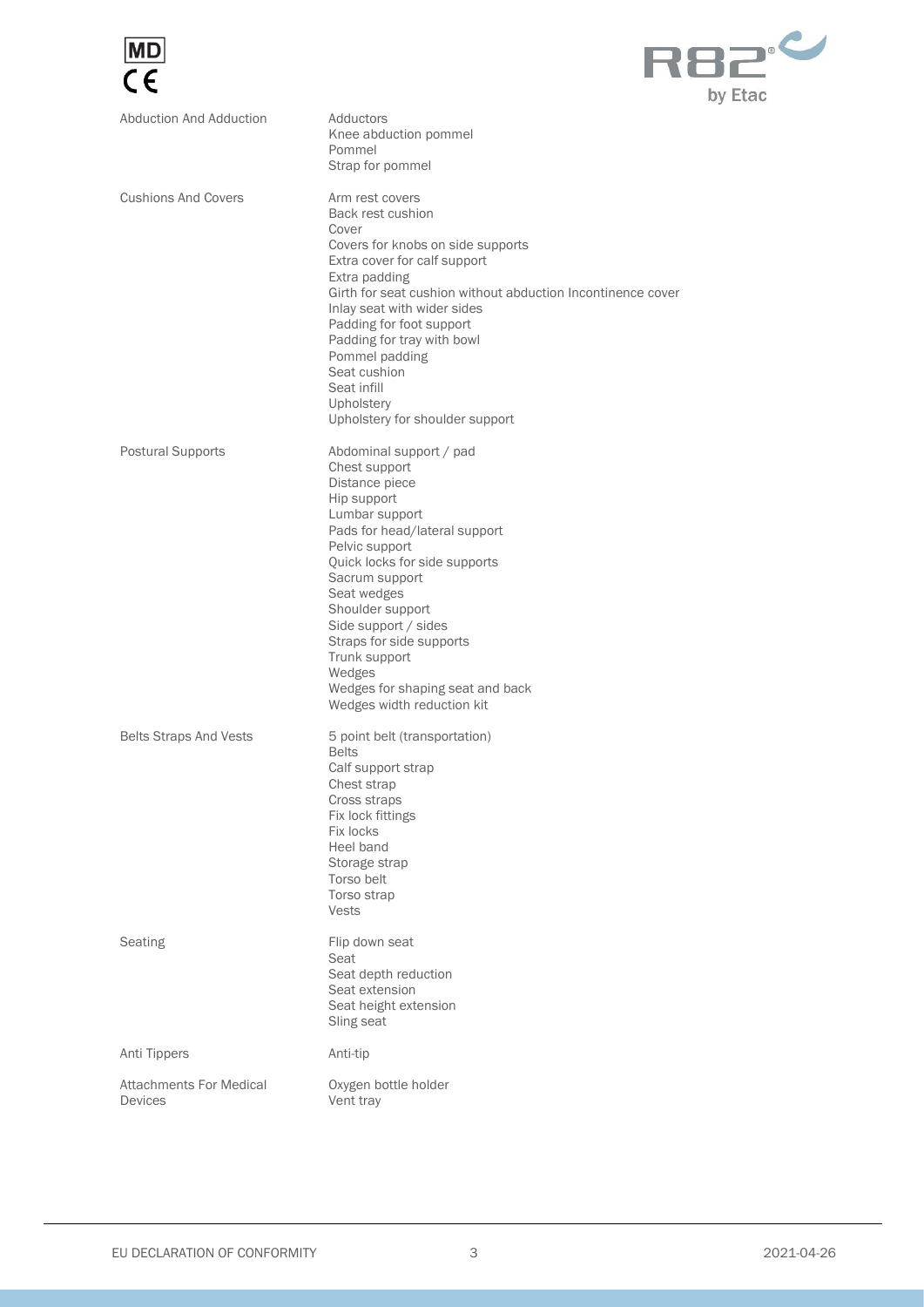



| Abduction And Adduction                          | Adductors<br>Knee abduction pommel<br>Pommel                                                                                                                                                                                                                                                                                                                                                                      |
|--------------------------------------------------|-------------------------------------------------------------------------------------------------------------------------------------------------------------------------------------------------------------------------------------------------------------------------------------------------------------------------------------------------------------------------------------------------------------------|
| <b>Cushions And Covers</b>                       | Strap for pommel<br>Arm rest covers<br>Back rest cushion<br>Cover<br>Covers for knobs on side supports<br>Extra cover for calf support<br>Extra padding<br>Girth for seat cushion without abduction Incontinence cover<br>Inlay seat with wider sides<br>Padding for foot support<br>Padding for tray with bowl<br>Pommel padding<br>Seat cushion<br>Seat infill<br>Upholstery<br>Upholstery for shoulder support |
| <b>Postural Supports</b>                         | Abdominal support / pad<br>Chest support<br>Distance piece<br>Hip support<br>Lumbar support<br>Pads for head/lateral support<br>Pelvic support<br>Quick locks for side supports<br>Sacrum support<br>Seat wedges<br>Shoulder support<br>Side support / sides<br>Straps for side supports<br>Trunk support<br>Wedges<br>Wedges for shaping seat and back<br>Wedges width reduction kit                             |
| <b>Belts Straps And Vests</b>                    | 5 point belt (transportation)<br><b>Belts</b><br>Calf support strap<br>Chest strap<br>Cross straps<br>Fix lock fittings<br>Fix locks<br>Heel band<br>Storage strap<br>Torso belt<br>Torso strap<br><b>Vests</b>                                                                                                                                                                                                   |
| Seating                                          | Flip down seat<br>Seat<br>Seat depth reduction<br>Seat extension<br>Seat height extension<br>Sling seat                                                                                                                                                                                                                                                                                                           |
| Anti Tippers                                     | Anti-tip                                                                                                                                                                                                                                                                                                                                                                                                          |
| <b>Attachments For Medical</b><br><b>Devices</b> | Oxygen bottle holder<br>Vent tray                                                                                                                                                                                                                                                                                                                                                                                 |